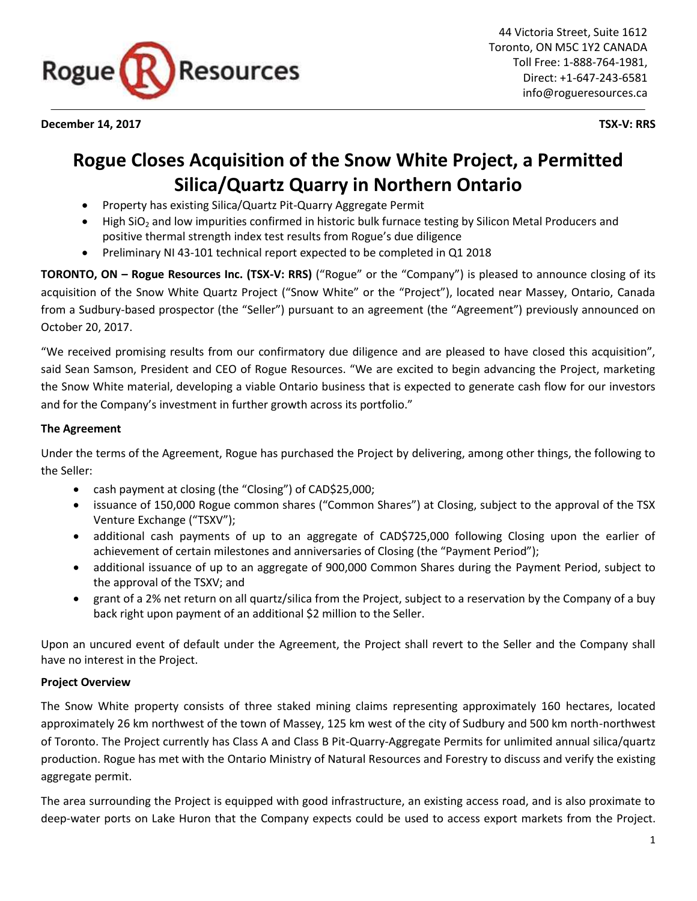

**December 14, 2017 TSX-V: RRS**

44 Victoria Street, Suite 1612 Toronto, ON M5C 1Y2 CANADA Toll Free: 1-888-764-1981, Direct: +1-647-243-6581 info@rogueresources.ca

# **Rogue Closes Acquisition of the Snow White Project, a Permitted Silica/Quartz Quarry in Northern Ontario**

- Property has existing Silica/Quartz Pit-Quarry Aggregate Permit
- High SiO<sub>2</sub> and low impurities confirmed in historic bulk furnace testing by Silicon Metal Producers and positive thermal strength index test results from Rogue's due diligence
- Preliminary NI 43-101 technical report expected to be completed in Q1 2018

**TORONTO, ON – Rogue Resources Inc. (TSX-V: RRS)** ("Rogue" or the "Company") is pleased to announce closing of its acquisition of the Snow White Quartz Project ("Snow White" or the "Project"), located near Massey, Ontario, Canada from a Sudbury-based prospector (the "Seller") pursuant to an agreement (the "Agreement") previously announced on October 20, 2017.

"We received promising results from our confirmatory due diligence and are pleased to have closed this acquisition", said Sean Samson, President and CEO of Rogue Resources. "We are excited to begin advancing the Project, marketing the Snow White material, developing a viable Ontario business that is expected to generate cash flow for our investors and for the Company's investment in further growth across its portfolio."

## **The Agreement**

Under the terms of the Agreement, Rogue has purchased the Project by delivering, among other things, the following to the Seller:

- cash payment at closing (the "Closing") of CAD\$25,000;
- issuance of 150,000 Rogue common shares ("Common Shares") at Closing, subject to the approval of the TSX Venture Exchange ("TSXV");
- additional cash payments of up to an aggregate of CAD\$725,000 following Closing upon the earlier of achievement of certain milestones and anniversaries of Closing (the "Payment Period");
- additional issuance of up to an aggregate of 900,000 Common Shares during the Payment Period, subject to the approval of the TSXV; and
- grant of a 2% net return on all quartz/silica from the Project, subject to a reservation by the Company of a buy back right upon payment of an additional \$2 million to the Seller.

Upon an uncured event of default under the Agreement, the Project shall revert to the Seller and the Company shall have no interest in the Project.

#### **Project Overview**

The Snow White property consists of three staked mining claims representing approximately 160 hectares, located approximately 26 km northwest of the town of Massey, 125 km west of the city of Sudbury and 500 km north-northwest of Toronto. The Project currently has Class A and Class B Pit-Quarry-Aggregate Permits for unlimited annual silica/quartz production. Rogue has met with the Ontario Ministry of Natural Resources and Forestry to discuss and verify the existing aggregate permit.

The area surrounding the Project is equipped with good infrastructure, an existing access road, and is also proximate to deep-water ports on Lake Huron that the Company expects could be used to access export markets from the Project.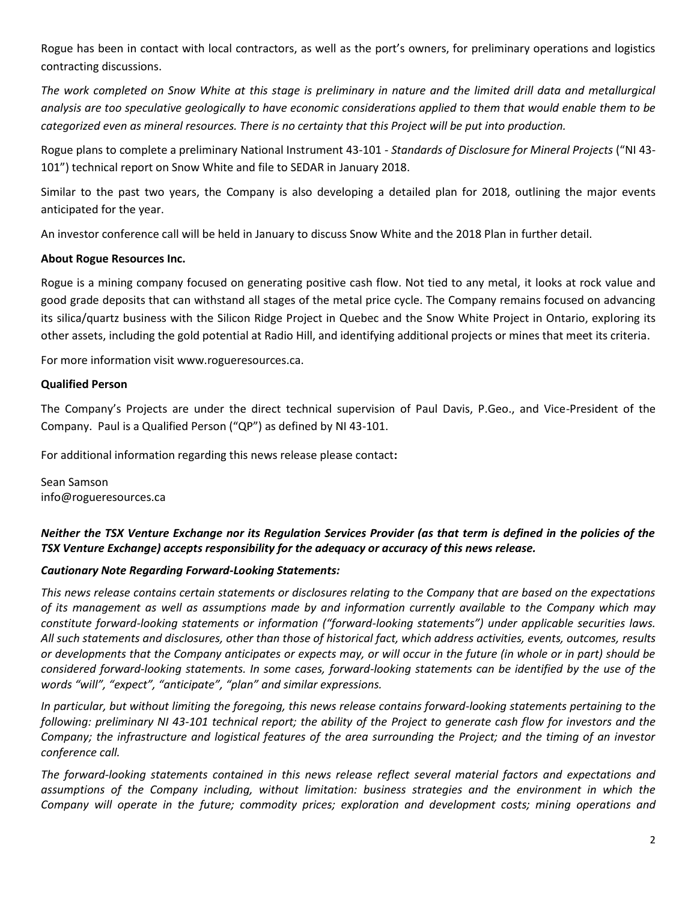Rogue has been in contact with local contractors, as well as the port's owners, for preliminary operations and logistics contracting discussions.

The work completed on Snow White at this stage is preliminary in nature and the limited drill data and metallurgical *analysis are too speculative geologically to have economic considerations applied to them that would enable them to be categorized even as mineral resources. There is no certainty that this Project will be put into production.*

Rogue plans to complete a preliminary National Instrument 43-101 - *Standards of Disclosure for Mineral Projects* ("NI 43- 101") technical report on Snow White and file to SEDAR in January 2018.

Similar to the past two years, the Company is also developing a detailed plan for 2018, outlining the major events anticipated for the year.

An investor conference call will be held in January to discuss Snow White and the 2018 Plan in further detail.

## **About Rogue Resources Inc.**

Rogue is a mining company focused on generating positive cash flow. Not tied to any metal, it looks at rock value and good grade deposits that can withstand all stages of the metal price cycle. The Company remains focused on advancing its silica/quartz business with the Silicon Ridge Project in Quebec and the Snow White Project in Ontario, exploring its other assets, including the gold potential at Radio Hill, and identifying additional projects or mines that meet its criteria.

For more information visit www.rogueresources.ca.

## **Qualified Person**

The Company's Projects are under the direct technical supervision of Paul Davis, P.Geo., and Vice-President of the Company. Paul is a Qualified Person ("QP") as defined by NI 43-101.

For additional information regarding this news release please contact**:**

Sean Samson info@rogueresources.ca

# *Neither the TSX Venture Exchange nor its Regulation Services Provider (as that term is defined in the policies of the TSX Venture Exchange) accepts responsibility for the adequacy or accuracy of this news release.*

#### *Cautionary Note Regarding Forward-Looking Statements:*

*This news release contains certain statements or disclosures relating to the Company that are based on the expectations of its management as well as assumptions made by and information currently available to the Company which may constitute forward-looking statements or information ("forward-looking statements") under applicable securities laws. All such statements and disclosures, other than those of historical fact, which address activities, events, outcomes, results or developments that the Company anticipates or expects may, or will occur in the future (in whole or in part) should be considered forward-looking statements. In some cases, forward-looking statements can be identified by the use of the words "will", "expect", "anticipate", "plan" and similar expressions.*

*In particular, but without limiting the foregoing, this news release contains forward-looking statements pertaining to the following: preliminary NI 43-101 technical report; the ability of the Project to generate cash flow for investors and the Company; the infrastructure and logistical features of the area surrounding the Project; and the timing of an investor conference call.*

*The forward-looking statements contained in this news release reflect several material factors and expectations and assumptions of the Company including, without limitation: business strategies and the environment in which the Company will operate in the future; commodity prices; exploration and development costs; mining operations and*